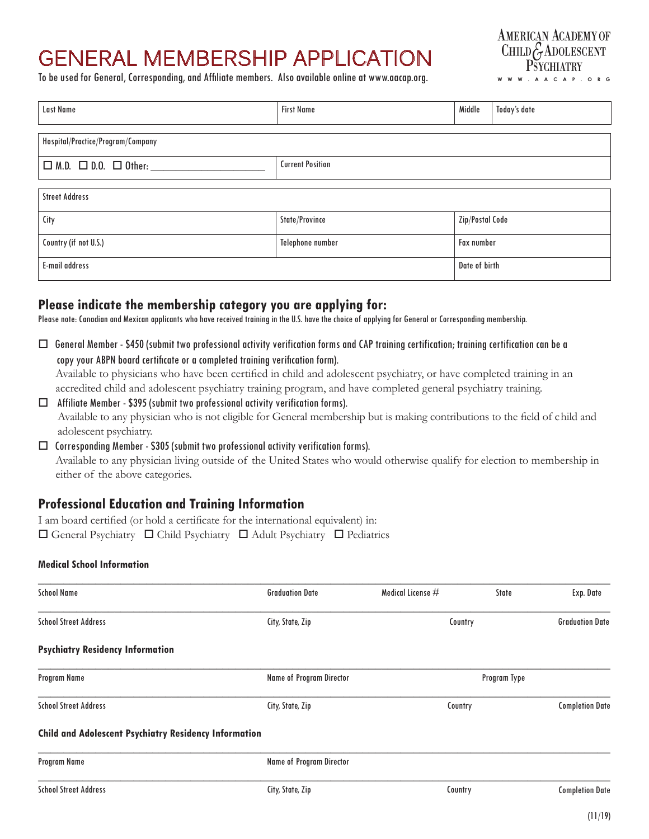# GENERAL MEMBERSHIP APPLICATION

To be used for General, Corresponding, and Affiliate members. Also available online at www.aacap.org.



| <b>Last Name</b>                      | <b>First Name</b>       | Middle            | Today's date |  |  |  |
|---------------------------------------|-------------------------|-------------------|--------------|--|--|--|
| Hospital/Practice/Program/Company     |                         |                   |              |  |  |  |
| $\Box$ M.D. $\Box$ D.O. $\Box$ Other: | <b>Current Position</b> |                   |              |  |  |  |
| <b>Street Address</b>                 |                         |                   |              |  |  |  |
| City                                  | State/Province          | Zip/Postal Code   |              |  |  |  |
| Country (if not U.S.)                 | Telephone number        | <b>Fax number</b> |              |  |  |  |
| E-mail address                        |                         | Date of birth     |              |  |  |  |

## **Please indicate the membership category you are applying for:**

Please note: Canadian and Mexican applicants who have received training in the U.S. have the choice of applying for General or Corresponding membership.

 $\Box$  General Member - \$450 (submit two professional activity verification forms and CAP training certification; training certification can be a copy your ABPN board certificate or a completed training verification form).

Available to physicians who have been certified in child and adolescent psychiatry, or have completed training in an accredited child and adolescent psychiatry training program, and have completed general psychiatry training.

- $\Box$  Affiliate Member \$395 (submit two professional activity verification forms). Available to any physician who is not eligible for General membership but is making contributions to the field of child and adolescent psychiatry.
- $\Box$  Corresponding Member \$305 (submit two professional activity verification forms). Available to any physician living outside of the United States who would otherwise qualify for election to membership in either of the above categories.

## **Professional Education and Training Information**

I am board certified (or hold a certificate for the international equivalent) in:  $\Box$  General Psychiatry  $\Box$  Child Psychiatry  $\Box$  Adult Psychiatry  $\Box$  Pediatrics

#### **Medical School Information**

| <b>School Name</b>                                           | <b>Graduation Date</b>          | Medical License $#$               | State        | Exp. Date              |  |
|--------------------------------------------------------------|---------------------------------|-----------------------------------|--------------|------------------------|--|
| <b>School Street Address</b>                                 | City, State, Zip                | Country                           |              | <b>Graduation Date</b> |  |
| <b>Psychiatry Residency Information</b>                      |                                 |                                   |              |                        |  |
| Program Name                                                 | <b>Name of Program Director</b> |                                   | Program Type |                        |  |
| <b>School Street Address</b>                                 | City, State, Zip                | <b>Completion Date</b><br>Country |              |                        |  |
| <b>Child and Adolescent Psychiatry Residency Information</b> |                                 |                                   |              |                        |  |
| Program Name                                                 | <b>Name of Program Director</b> |                                   |              |                        |  |
| <b>School Street Address</b>                                 | City, State, Zip                | Country                           |              | <b>Completion Date</b> |  |